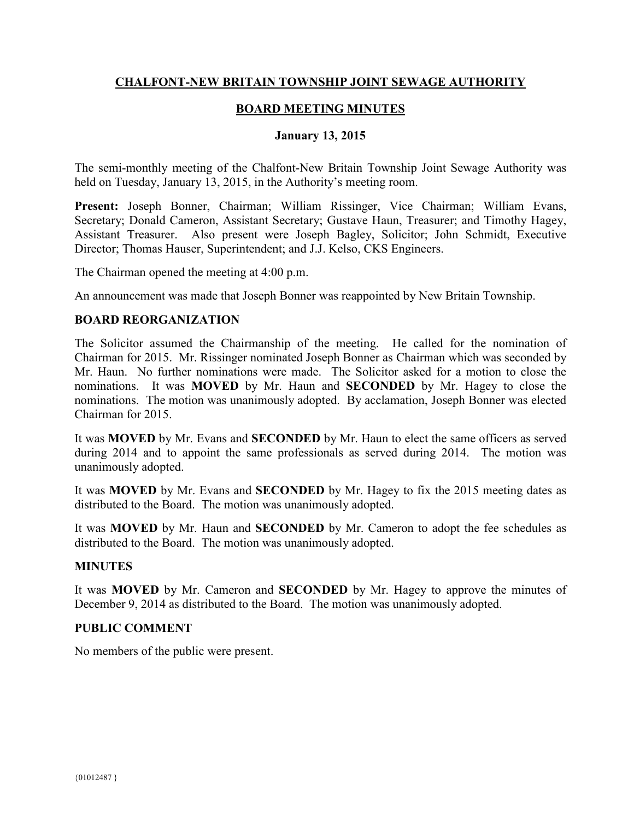# **CHALFONT-NEW BRITAIN TOWNSHIP JOINT SEWAGE AUTHORITY**

## **BOARD MEETING MINUTES**

#### **January 13, 2015**

The semi-monthly meeting of the Chalfont-New Britain Township Joint Sewage Authority was held on Tuesday, January 13, 2015, in the Authority's meeting room.

**Present:** Joseph Bonner, Chairman; William Rissinger, Vice Chairman; William Evans, Secretary; Donald Cameron, Assistant Secretary; Gustave Haun, Treasurer; and Timothy Hagey, Assistant Treasurer. Also present were Joseph Bagley, Solicitor; John Schmidt, Executive Director; Thomas Hauser, Superintendent; and J.J. Kelso, CKS Engineers.

The Chairman opened the meeting at 4:00 p.m.

An announcement was made that Joseph Bonner was reappointed by New Britain Township.

### **BOARD REORGANIZATION**

The Solicitor assumed the Chairmanship of the meeting. He called for the nomination of Chairman for 2015. Mr. Rissinger nominated Joseph Bonner as Chairman which was seconded by Mr. Haun. No further nominations were made. The Solicitor asked for a motion to close the nominations. It was **MOVED** by Mr. Haun and **SECONDED** by Mr. Hagey to close the nominations. The motion was unanimously adopted. By acclamation, Joseph Bonner was elected Chairman for 2015.

It was **MOVED** by Mr. Evans and **SECONDED** by Mr. Haun to elect the same officers as served during 2014 and to appoint the same professionals as served during 2014. The motion was unanimously adopted.

It was **MOVED** by Mr. Evans and **SECONDED** by Mr. Hagey to fix the 2015 meeting dates as distributed to the Board. The motion was unanimously adopted.

It was **MOVED** by Mr. Haun and **SECONDED** by Mr. Cameron to adopt the fee schedules as distributed to the Board. The motion was unanimously adopted.

### **MINUTES**

It was **MOVED** by Mr. Cameron and **SECONDED** by Mr. Hagey to approve the minutes of December 9, 2014 as distributed to the Board. The motion was unanimously adopted.

#### **PUBLIC COMMENT**

No members of the public were present.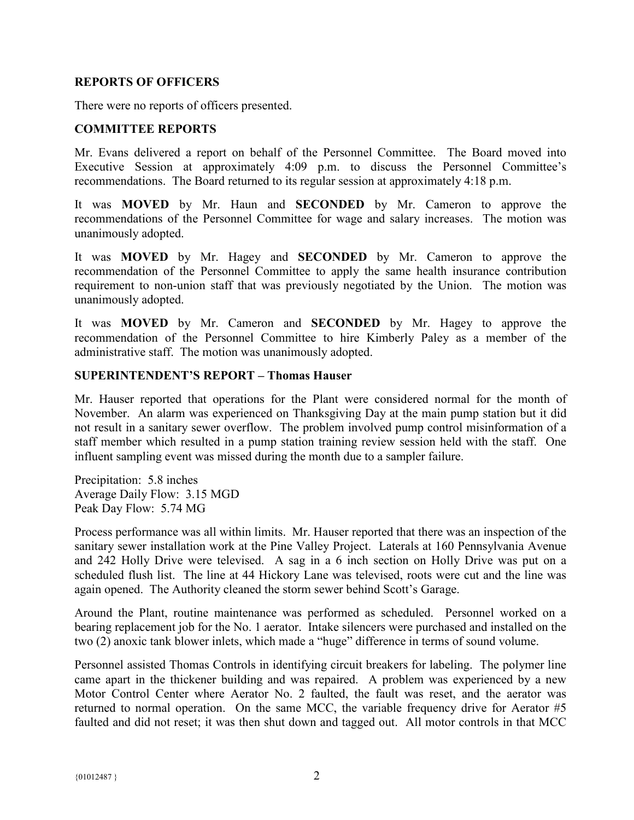#### **REPORTS OF OFFICERS**

There were no reports of officers presented.

### **COMMITTEE REPORTS**

Mr. Evans delivered a report on behalf of the Personnel Committee. The Board moved into Executive Session at approximately 4:09 p.m. to discuss the Personnel Committee's recommendations. The Board returned to its regular session at approximately 4:18 p.m.

It was **MOVED** by Mr. Haun and **SECONDED** by Mr. Cameron to approve the recommendations of the Personnel Committee for wage and salary increases. The motion was unanimously adopted.

It was **MOVED** by Mr. Hagey and **SECONDED** by Mr. Cameron to approve the recommendation of the Personnel Committee to apply the same health insurance contribution requirement to non-union staff that was previously negotiated by the Union. The motion was unanimously adopted.

It was **MOVED** by Mr. Cameron and **SECONDED** by Mr. Hagey to approve the recommendation of the Personnel Committee to hire Kimberly Paley as a member of the administrative staff. The motion was unanimously adopted.

#### **SUPERINTENDENT'S REPORT – Thomas Hauser**

Mr. Hauser reported that operations for the Plant were considered normal for the month of November. An alarm was experienced on Thanksgiving Day at the main pump station but it did not result in a sanitary sewer overflow. The problem involved pump control misinformation of a staff member which resulted in a pump station training review session held with the staff. One influent sampling event was missed during the month due to a sampler failure.

Precipitation: 5.8 inches Average Daily Flow: 3.15 MGD Peak Day Flow: 5.74 MG

Process performance was all within limits. Mr. Hauser reported that there was an inspection of the sanitary sewer installation work at the Pine Valley Project. Laterals at 160 Pennsylvania Avenue and 242 Holly Drive were televised. A sag in a 6 inch section on Holly Drive was put on a scheduled flush list. The line at 44 Hickory Lane was televised, roots were cut and the line was again opened. The Authority cleaned the storm sewer behind Scott's Garage.

Around the Plant, routine maintenance was performed as scheduled. Personnel worked on a bearing replacement job for the No. 1 aerator. Intake silencers were purchased and installed on the two (2) anoxic tank blower inlets, which made a "huge" difference in terms of sound volume.

Personnel assisted Thomas Controls in identifying circuit breakers for labeling. The polymer line came apart in the thickener building and was repaired. A problem was experienced by a new Motor Control Center where Aerator No. 2 faulted, the fault was reset, and the aerator was returned to normal operation. On the same MCC, the variable frequency drive for Aerator #5 faulted and did not reset; it was then shut down and tagged out. All motor controls in that MCC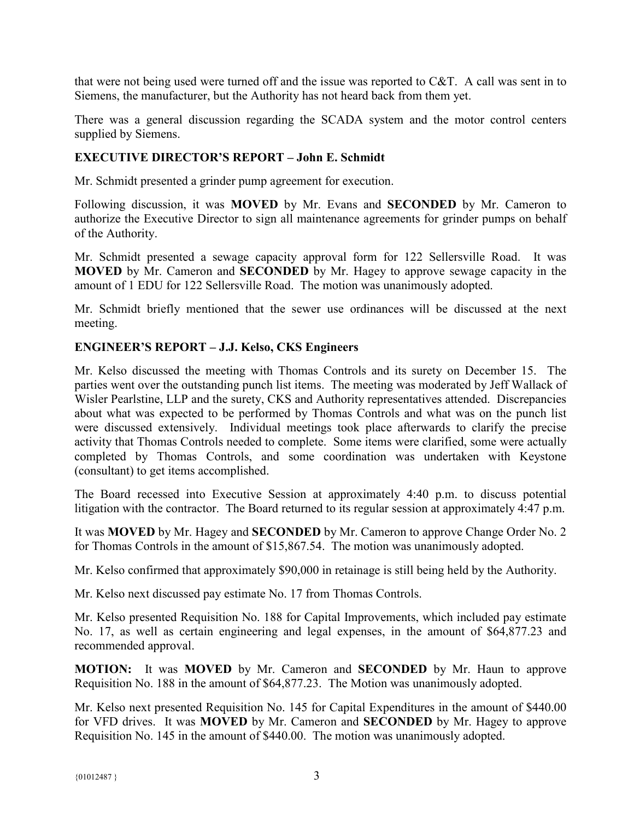that were not being used were turned off and the issue was reported to C&T. A call was sent in to Siemens, the manufacturer, but the Authority has not heard back from them yet.

There was a general discussion regarding the SCADA system and the motor control centers supplied by Siemens.

# **EXECUTIVE DIRECTOR'S REPORT – John E. Schmidt**

Mr. Schmidt presented a grinder pump agreement for execution.

Following discussion, it was **MOVED** by Mr. Evans and **SECONDED** by Mr. Cameron to authorize the Executive Director to sign all maintenance agreements for grinder pumps on behalf of the Authority.

Mr. Schmidt presented a sewage capacity approval form for 122 Sellersville Road. It was **MOVED** by Mr. Cameron and **SECONDED** by Mr. Hagey to approve sewage capacity in the amount of 1 EDU for 122 Sellersville Road. The motion was unanimously adopted.

Mr. Schmidt briefly mentioned that the sewer use ordinances will be discussed at the next meeting.

### **ENGINEER'S REPORT – J.J. Kelso, CKS Engineers**

Mr. Kelso discussed the meeting with Thomas Controls and its surety on December 15. The parties went over the outstanding punch list items. The meeting was moderated by Jeff Wallack of Wisler Pearlstine, LLP and the surety, CKS and Authority representatives attended. Discrepancies about what was expected to be performed by Thomas Controls and what was on the punch list were discussed extensively. Individual meetings took place afterwards to clarify the precise activity that Thomas Controls needed to complete. Some items were clarified, some were actually completed by Thomas Controls, and some coordination was undertaken with Keystone (consultant) to get items accomplished.

The Board recessed into Executive Session at approximately 4:40 p.m. to discuss potential litigation with the contractor. The Board returned to its regular session at approximately 4:47 p.m.

It was **MOVED** by Mr. Hagey and **SECONDED** by Mr. Cameron to approve Change Order No. 2 for Thomas Controls in the amount of \$15,867.54. The motion was unanimously adopted.

Mr. Kelso confirmed that approximately \$90,000 in retainage is still being held by the Authority.

Mr. Kelso next discussed pay estimate No. 17 from Thomas Controls.

Mr. Kelso presented Requisition No. 188 for Capital Improvements, which included pay estimate No. 17, as well as certain engineering and legal expenses, in the amount of \$64,877.23 and recommended approval.

**MOTION:** It was **MOVED** by Mr. Cameron and **SECONDED** by Mr. Haun to approve Requisition No. 188 in the amount of \$64,877.23. The Motion was unanimously adopted.

Mr. Kelso next presented Requisition No. 145 for Capital Expenditures in the amount of \$440.00 for VFD drives. It was **MOVED** by Mr. Cameron and **SECONDED** by Mr. Hagey to approve Requisition No. 145 in the amount of \$440.00. The motion was unanimously adopted.